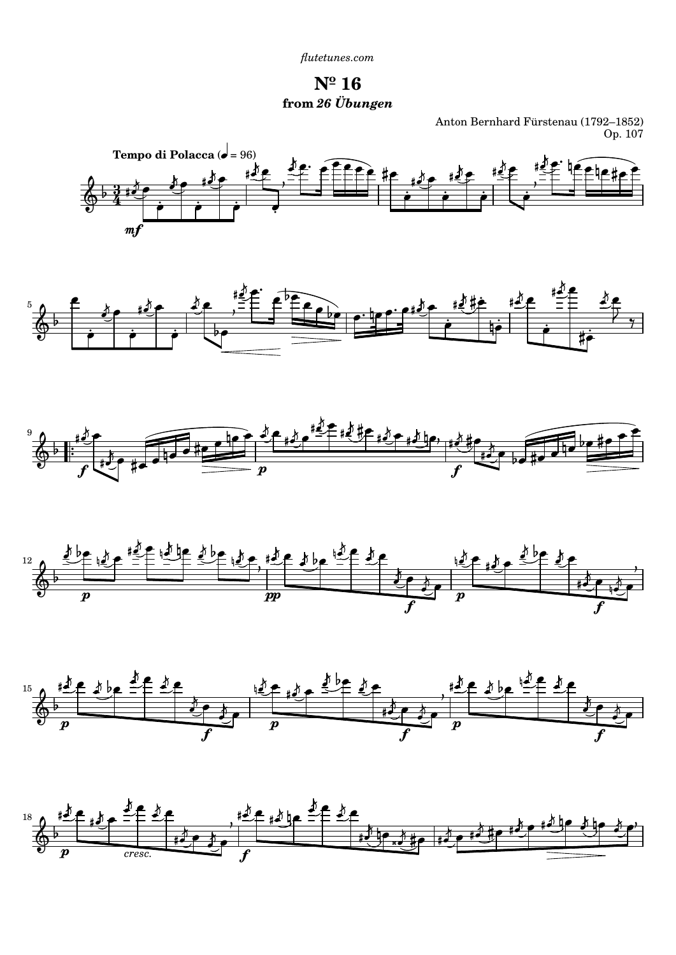*[flutetunes.com](http://www.flutetunes.com)*

**Nº 16 from** *26 Übungen*

Anton Bernhard Fürstenau (1792–1852) Op. 107